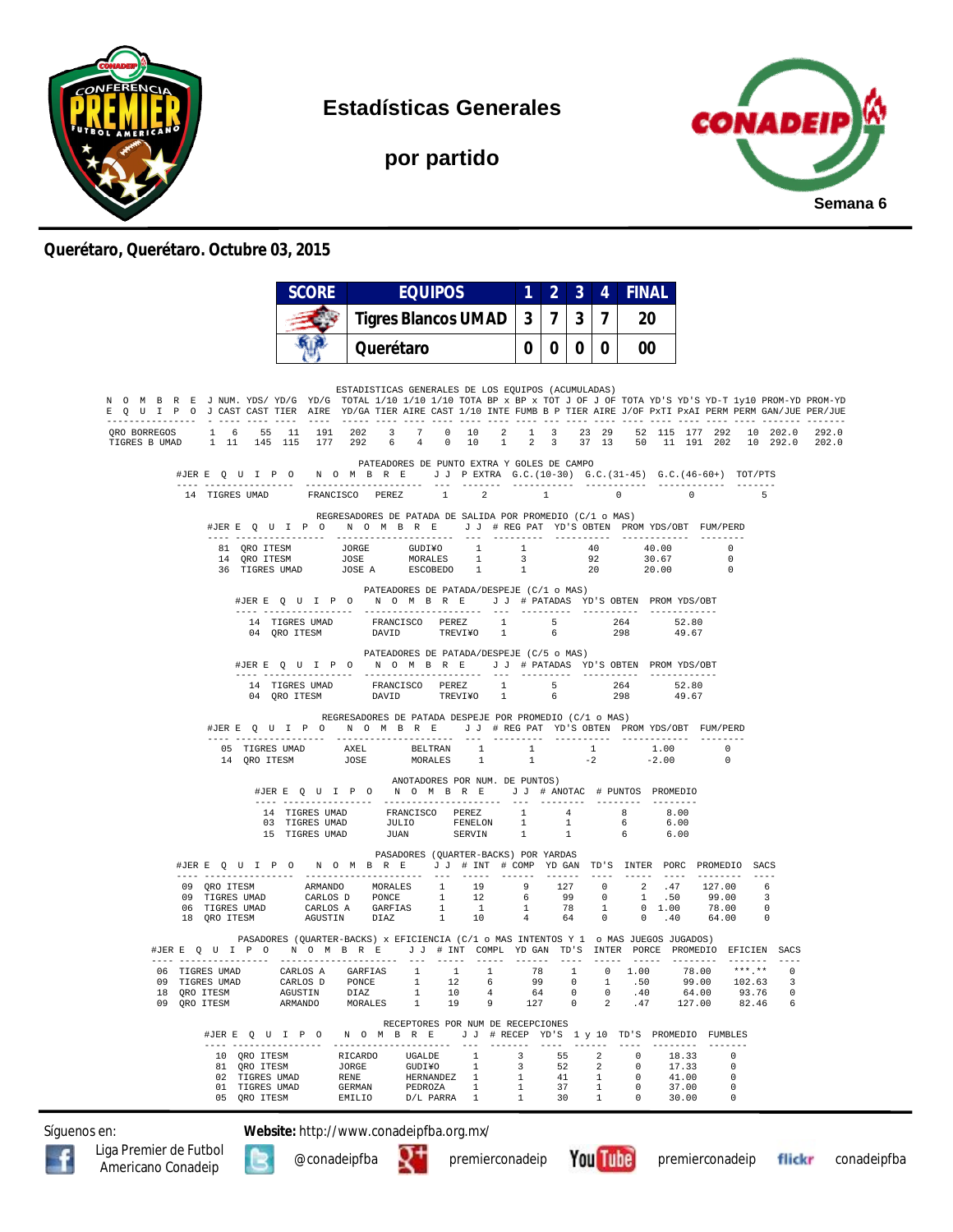

**Estadísticas Generales**

**por partido**



#### **Querétaro, Querétaro. Octubre 03, 2015**

|                                                                                                                                                                                                                                                        |                |                | <b>SCORE</b>                                 | <b>EQUIPOS</b>                                                                                                                                                                                                                                                                 |                            |                        |                                            | $\overline{2}$                              | $\overline{3}$                                     | $\overline{4}$ | <b>FINAL</b>             |                                                      |                |                               |                            |     |                |
|--------------------------------------------------------------------------------------------------------------------------------------------------------------------------------------------------------------------------------------------------------|----------------|----------------|----------------------------------------------|--------------------------------------------------------------------------------------------------------------------------------------------------------------------------------------------------------------------------------------------------------------------------------|----------------------------|------------------------|--------------------------------------------|---------------------------------------------|----------------------------------------------------|----------------|--------------------------|------------------------------------------------------|----------------|-------------------------------|----------------------------|-----|----------------|
|                                                                                                                                                                                                                                                        |                |                |                                              |                                                                                                                                                                                                                                                                                | <b>Tigres Blancos UMAD</b> |                        |                                            |                                             | 3 <sup>1</sup><br>7 <sup>1</sup><br>$\overline{3}$ |                | $\overline{7}$           | 20                                                   |                |                               |                            |     |                |
|                                                                                                                                                                                                                                                        |                |                |                                              |                                                                                                                                                                                                                                                                                | Querétaro                  |                        |                                            | 0 <sup>1</sup>                              |                                                    | $0$   $0$      | 0 <sup>1</sup>           | 00                                                   |                |                               |                            |     |                |
|                                                                                                                                                                                                                                                        |                |                |                                              | ESTADISTICAS GENERALES DE LOS EQUIPOS (ACUMULADAS)                                                                                                                                                                                                                             |                            |                        |                                            |                                             |                                                    |                |                          |                                                      |                |                               |                            |     |                |
| N O M B R E J NUM. YDS/YD/G YD/G TOTAL 1/10 1/10 1/10 TOTA BP x BP x TOT J OF J OF TOTA YD'S YD-T 1y10 PROM-YD PROM-YD<br>E Q U I P O J CAST CAST TIER AIRE YD/GA TIER AIRE CAST 1/10 INTE FUMB B P TIER AIRE J/OF PXTI PXAI PERM PERM GAN/JUE PER/JUE |                |                |                                              |                                                                                                                                                                                                                                                                                |                            |                        |                                            |                                             |                                                    |                |                          |                                                      |                |                               |                            |     |                |
| 0RO BORREGOS 1 6 55 11 191 202 3 7 0 10 2 1 3 23 29 52 115 177 292 10 202.0<br>TIGRES BUMAD 1 11 145 115 177 292 6 4 0 10 1 2 3 37 13 50 11 191 202 10 292.0                                                                                           |                |                |                                              |                                                                                                                                                                                                                                                                                |                            |                        |                                            |                                             |                                                    |                |                          |                                                      |                |                               |                            |     | 292.0<br>202.0 |
|                                                                                                                                                                                                                                                        |                |                |                                              | #JERE Q U I P O N O M B R E J J PEXTRA G.C. (10-30) G.C. (31-45) G.C. (46-60+) TOT/PTS                                                                                                                                                                                         |                            |                        | PATEADORES DE PUNTO EXTRA Y GOLES DE CAMPO |                                             |                                                    |                |                          |                                                      |                |                               |                            |     |                |
|                                                                                                                                                                                                                                                        |                |                |                                              | 14 TIGRES UMAD FRANCISCO PEREZ 1                                                                                                                                                                                                                                               |                            |                        | $\sim$ 2                                   |                                             | $\sim$ 1                                           |                |                          | $0 \qquad \qquad$                                    | $\sim$ 0       |                               |                            | - 5 |                |
|                                                                                                                                                                                                                                                        |                |                |                                              | REGRESADORES DE PATADA DE SALIDA POR PROMEDIO (C/1 o MAS)<br>#JERE QUIPO NOMBRE JJ#REGPAT YD'S OBTEN PROMYDS/OBT FUM/PERD                                                                                                                                                      |                            |                        |                                            |                                             |                                                    |                |                          |                                                      |                |                               |                            |     |                |
|                                                                                                                                                                                                                                                        |                |                |                                              |                                                                                                                                                                                                                                                                                |                            |                        |                                            | 1 40                                        |                                                    |                |                          |                                                      |                | 40.00                         | $\overline{0}$             |     |                |
|                                                                                                                                                                                                                                                        |                |                |                                              | $\begin{tabular}{lcccc} \bf 81 & \tt QRO{}{}{} \bf TESM & \tt JORGE & \tt GUDIYO & \tt 1 & \tt 1 \\ \bf 14 & \tt QRO{}{}{} \bf TTSM & \tt JOSE & \tt MORALES & \tt 1 & \tt 3 \\ \bf 36 & \tt TIGRES{}{} \t{UMAD} & \tt JOSE A & \tt ESCOBEDO & \tt 1 & \tt 1 \\ \end{tabular}$ |                            |                        |                                            |                                             |                                                    |                |                          | $92$ $30.67$<br>20 $20.00$                           |                |                               | $\overline{\phantom{0}}$   |     |                |
|                                                                                                                                                                                                                                                        |                |                |                                              | #JERE QUIPO NOMBRE JJ # PATADAS YD'S OBTEN PROMYDS/OBT                                                                                                                                                                                                                         |                            |                        | PATEADORES DE PATADA/DESPEJE (C/1 o MAS)   |                                             |                                                    |                |                          |                                                      |                |                               |                            |     |                |
|                                                                                                                                                                                                                                                        |                |                |                                              |                                                                                                                                                                                                                                                                                |                            |                        |                                            |                                             |                                                    |                |                          |                                                      |                |                               |                            |     |                |
|                                                                                                                                                                                                                                                        |                |                |                                              |                                                                                                                                                                                                                                                                                |                            |                        |                                            |                                             |                                                    |                |                          |                                                      | 52.80<br>49.67 | 49.67                         |                            |     |                |
|                                                                                                                                                                                                                                                        |                |                |                                              | #JERE Q U I P O N O M B R E J J # PATADAS YD'S OBTEN PROMYDS/OBT                                                                                                                                                                                                               |                            |                        | PATEADORES DE PATADA/DESPEJE (C/5 o MAS)   |                                             |                                                    |                |                          |                                                      |                |                               |                            |     |                |
|                                                                                                                                                                                                                                                        |                |                |                                              | $\begin{tabular}{lcccccc} 14 & TIGRES UMAD & FRANCISCO & PEREZ & 1 & 5 & 264 & 52.80 \\ 04 & QRO ITESM & DAVID & TREVIYO & 1 & 6 & 298 & 49.67 \\ \end{tabular}$                                                                                                               |                            |                        |                                            |                                             |                                                    |                |                          |                                                      |                |                               |                            |     |                |
|                                                                                                                                                                                                                                                        |                |                |                                              | REGRESADORES DE PATADA DESPEJE POR PROMEDIO (C/1 o MAS)                                                                                                                                                                                                                        |                            |                        |                                            |                                             |                                                    |                |                          |                                                      |                |                               |                            |     |                |
|                                                                                                                                                                                                                                                        |                |                |                                              | #JERE Q U I P O N O M B R E J J # REG PAT YD'S OBTEN PROMYDS/OBT FUM/PERD                                                                                                                                                                                                      |                            |                        |                                            |                                             |                                                    |                |                          |                                                      |                |                               |                            |     |                |
|                                                                                                                                                                                                                                                        |                |                |                                              |                                                                                                                                                                                                                                                                                |                            |                        |                                            |                                             |                                                    |                |                          |                                                      |                |                               | $\overline{0}$<br>$\Omega$ |     |                |
|                                                                                                                                                                                                                                                        |                |                |                                              | #JERE Q U I P O N O M B R E J J # ANOTAC # PUNTOS PROMEDIO                                                                                                                                                                                                                     |                            |                        | ANOTADORES POR NUM. DE PUNTOS)             |                                             |                                                    |                |                          |                                                      |                |                               |                            |     |                |
|                                                                                                                                                                                                                                                        |                |                |                                              | $\begin{tabular}{cccccccc} 14 & TIGRES UMAD & FRANCISCO & PEREZ & 1 & 4 & 8 & 8.00\\ 03 & TIGRES UMAD & JULIO & FENELON & 1 & 1 & 6 & 6.00\\ 15 & TIGRES UMAD & JUAN & SERVIN & 1 & 1 & 6 & 6.00\\ \end{tabular}$                                                              |                            |                        |                                            |                                             |                                                    |                |                          |                                                      |                |                               |                            |     |                |
|                                                                                                                                                                                                                                                        |                |                |                                              |                                                                                                                                                                                                                                                                                |                            |                        |                                            |                                             |                                                    |                |                          |                                                      |                |                               |                            |     |                |
|                                                                                                                                                                                                                                                        |                |                |                                              | #JERE Q U I P O N O M B R E J J # INT # COMP YD GAN TD'S INTER PORC PROMEDIO SACS                                                                                                                                                                                              |                            |                        | PASADORES (QUARTER-BACKS) POR YARDAS       |                                             |                                                    |                |                          |                                                      |                |                               |                            |     |                |
|                                                                                                                                                                                                                                                        |                |                |                                              | 09 QRO ITESM ARMANDO MORALES 1 19 9 127 0 2 .47 127.00 6                                                                                                                                                                                                                       |                            |                        |                                            |                                             |                                                    |                | $- - - - -$              |                                                      |                |                               | --------- ----             |     |                |
|                                                                                                                                                                                                                                                        |                |                |                                              |                                                                                                                                                                                                                                                                                |                            |                        |                                            |                                             |                                                    |                |                          |                                                      |                |                               |                            |     |                |
|                                                                                                                                                                                                                                                        |                |                |                                              |                                                                                                                                                                                                                                                                                |                            |                        |                                            |                                             |                                                    |                |                          |                                                      |                |                               |                            |     |                |
|                                                                                                                                                                                                                                                        |                |                |                                              | PASADORES (QUARTER-BACKS) x EFICIENCIA (C/1 o MAS INTENTOS Y 1 o MAS JUEGOS JUGADOS)<br>#JERE Q U I P O N O M B R E J J # INT COMPL YD GAN TD'S INTER PORCE PROMEDIO EFICIEN SACS                                                                                              |                            |                        |                                            |                                             |                                                    |                |                          |                                                      |                |                               |                            |     |                |
|                                                                                                                                                                                                                                                        |                |                |                                              | 06 TIGRES UMAD CARLOS A GARFIAS 1 1 1 78 1                                                                                                                                                                                                                                     |                            |                        |                                            |                                             |                                                    |                |                          |                                                      |                | $0$ 1.00 78.00 ***.** 0       |                            |     |                |
|                                                                                                                                                                                                                                                        | 09 TIGRES UMAD |                |                                              | CARLOS D PONCE 1 12 6 99 0 1 .50<br>DIAZ 1 10                                                                                                                                                                                                                                  |                            |                        | $4\overline{4}$                            |                                             |                                                    |                |                          | $64$ 0 0 .40                                         |                | 99.00 102.63 3<br>64.00 93.76 |                            | 0   |                |
|                                                                                                                                                                                                                                                        |                |                | 18 QRO ITESM AGUSTIN<br>19 QRO ITESM ARMANDO | MORALES 1 19 9                                                                                                                                                                                                                                                                 |                            |                        |                                            |                                             |                                                    |                |                          |                                                      |                | 127 0 2 .47 127.00 82.46      |                            | 6   |                |
|                                                                                                                                                                                                                                                        |                |                |                                              | #JER E Q U I P O N O M B R E J J # RECEP YD'S 1 y 10 TD'S PROMEDIO FUMBLES                                                                                                                                                                                                     |                            |                        | RECEPTORES POR NUM DE RECEPCIONES          |                                             |                                                    |                |                          |                                                      |                |                               |                            |     |                |
|                                                                                                                                                                                                                                                        |                | 10 ORO ITESM   |                                              | <b>RICARDO</b>                                                                                                                                                                                                                                                                 |                            | UGALDE 1               |                                            | 3 55 2                                      |                                                    |                |                          | $\overline{0}$                                       |                | 18.33                         | $^{\circ}$                 |     |                |
|                                                                                                                                                                                                                                                        |                | 81 QRO ITESM   | 02 TIGRES UMAD                               | JORGE GUDIYO 1                                                                                                                                                                                                                                                                 |                            | HERNANDEZ <sub>1</sub> |                                            | $\overline{\mathbf{3}}$                     | 52                                                 |                | $\overline{\phantom{a}}$ | $\overline{\phantom{0}}$<br>$\overline{\phantom{0}}$ | 17.33<br>41.00 |                               | 0<br>$\mathbf 0$           |     |                |
|                                                                                                                                                                                                                                                        |                | 01 TIGRES UMAD |                                              | RENE<br>GERMAN                                                                                                                                                                                                                                                                 |                            | PEDROZA 1              |                                            | $\frac{1}{1}$ $\frac{41}{37}$ $\frac{1}{1}$ |                                                    |                |                          | $\overline{\phantom{0}}$                             |                | 37.00                         | $\Omega$                   |     |                |
|                                                                                                                                                                                                                                                        |                |                |                                              | 05 QRO ITESM EMILIO D/L PARRA 1 1 30 1                                                                                                                                                                                                                                         |                            |                        |                                            |                                             |                                                    |                |                          |                                                      |                | $0 \t 30.00$                  | $\mathbf{0}$               |     |                |

Síguenos en: **Website:** http://www.conadeipfba.org.mx/









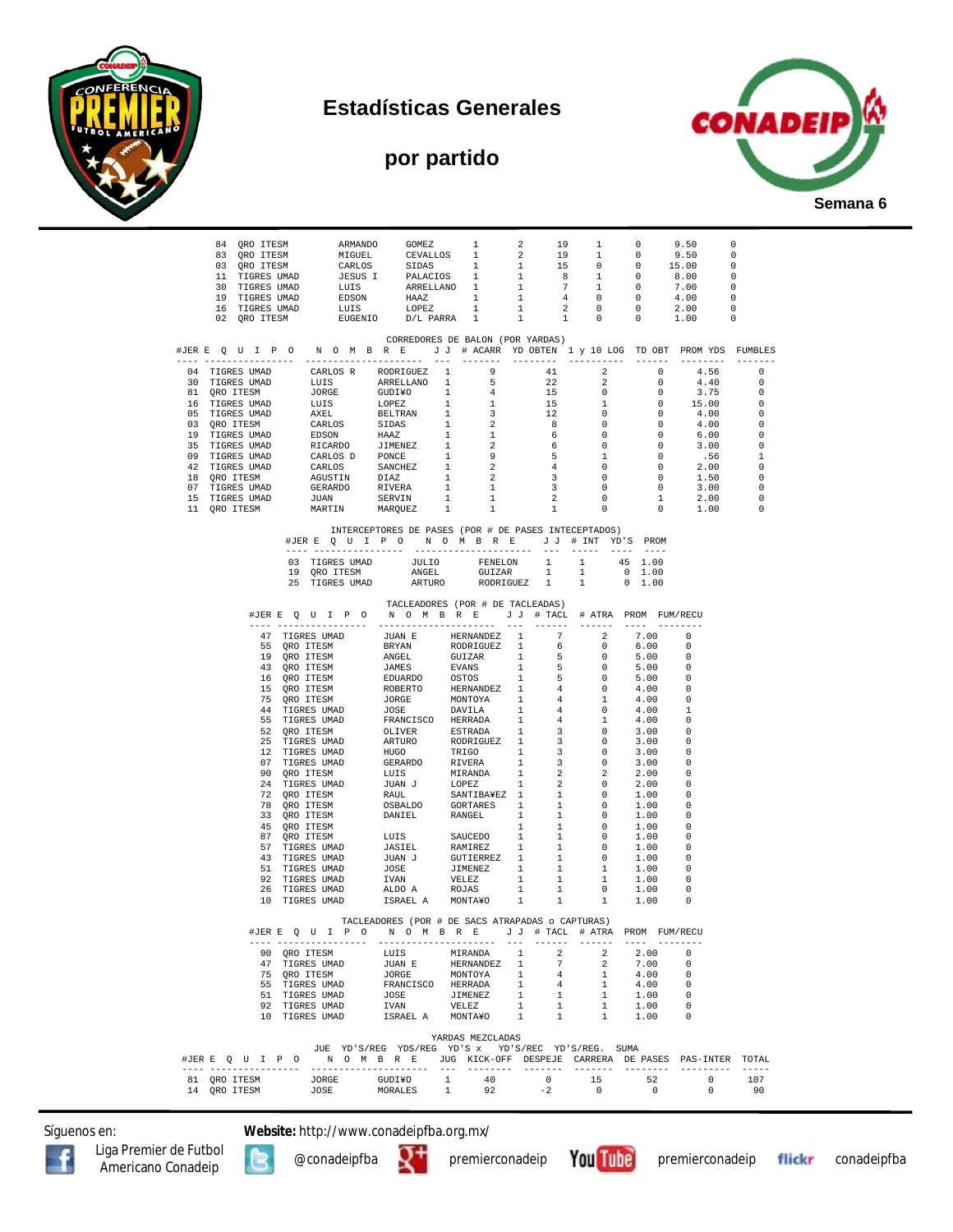

### **Estadísticas Generales**

# **por partido**



| $\begin{tabular}{cccccccc} 84 & QRO TTESM & ARMANDO & GOMEZ & 1 & 2 & 19 & 1 & 0 & 9.50 & 0 \\ 83 & QRO TTESM & MIGUEL & CEVALLOS & 1 & 2 & 19 & 1 & 0 & 9.50 & 0 \\ 03 & QRO TTESM & CARLOS & SIDAS & 1 & 1 & 15 & 0 & 0 & 15.00 & 0 \\ 11 & TIGRES UMAD & JESUS I & PALACIOS & 1 & 1 & 8 & 1 & 0 & 8.00 & 0 \\ 13 & TIGRES UMAD & LUIS & ARRELLAND & 1 & 1 & 7 & 1 & 0 & $                                                                                       |                                                                        |  |  |  |  |  |  |  |  |  |  |  |
|--------------------------------------------------------------------------------------------------------------------------------------------------------------------------------------------------------------------------------------------------------------------------------------------------------------------------------------------------------------------------------------------------------------------------------------------------------------------|------------------------------------------------------------------------|--|--|--|--|--|--|--|--|--|--|--|
| CORREDORES DE BALON (POR YARDAS)<br>#JERE QUIPONOMBRE JJ # ACARR YD OBTEN 1 y 10 LOG TD OBT PROMYDS FUMBLES                                                                                                                                                                                                                                                                                                                                                        |                                                                        |  |  |  |  |  |  |  |  |  |  |  |
| --------- ---------- ------<br>$\begin{tabular}{cccccccc} \textbf{1} & \textbf{1} & \textbf{1} & \textbf{1} & \textbf{1} & \textbf{1} & \textbf{1} & \textbf{1} & \textbf{1} & \textbf{1} & \textbf{1} & \textbf{1} & \textbf{1} & \textbf{1} & \textbf{1} & \textbf{1} & \textbf{1} & \textbf{1} & \textbf{1} & \textbf{1} & \textbf{1} & \textbf{1} & \textbf{1} & \textbf{1} & \textbf{1} & \textbf{1} & \textbf{1} & \textbf{1} & \textbf{1} & \textbf{1} & \$ | ---------<br>--------                                                  |  |  |  |  |  |  |  |  |  |  |  |
|                                                                                                                                                                                                                                                                                                                                                                                                                                                                    |                                                                        |  |  |  |  |  |  |  |  |  |  |  |
|                                                                                                                                                                                                                                                                                                                                                                                                                                                                    |                                                                        |  |  |  |  |  |  |  |  |  |  |  |
|                                                                                                                                                                                                                                                                                                                                                                                                                                                                    |                                                                        |  |  |  |  |  |  |  |  |  |  |  |
|                                                                                                                                                                                                                                                                                                                                                                                                                                                                    |                                                                        |  |  |  |  |  |  |  |  |  |  |  |
|                                                                                                                                                                                                                                                                                                                                                                                                                                                                    |                                                                        |  |  |  |  |  |  |  |  |  |  |  |
|                                                                                                                                                                                                                                                                                                                                                                                                                                                                    |                                                                        |  |  |  |  |  |  |  |  |  |  |  |
|                                                                                                                                                                                                                                                                                                                                                                                                                                                                    |                                                                        |  |  |  |  |  |  |  |  |  |  |  |
|                                                                                                                                                                                                                                                                                                                                                                                                                                                                    |                                                                        |  |  |  |  |  |  |  |  |  |  |  |
|                                                                                                                                                                                                                                                                                                                                                                                                                                                                    |                                                                        |  |  |  |  |  |  |  |  |  |  |  |
|                                                                                                                                                                                                                                                                                                                                                                                                                                                                    | $\begin{matrix}0\\0\end{matrix}$<br>$2.00$<br>$1.00$                   |  |  |  |  |  |  |  |  |  |  |  |
| MARTIN MARQUEZ<br>1<br>$\overline{1}$<br>1<br>11 QRO ITESM                                                                                                                                                                                                                                                                                                                                                                                                         | $\overline{0}$<br>$\overline{0}$                                       |  |  |  |  |  |  |  |  |  |  |  |
| INTERCEPTORES DE PASES (POR # DE PASES INTECEPTADOS)<br>#JERE OUIPO NOMBRE JJ # INT YD'S PROM                                                                                                                                                                                                                                                                                                                                                                      |                                                                        |  |  |  |  |  |  |  |  |  |  |  |
|                                                                                                                                                                                                                                                                                                                                                                                                                                                                    |                                                                        |  |  |  |  |  |  |  |  |  |  |  |
| 03 TIGRES UMAD JULIO FENELON 1 1 45 1.00                                                                                                                                                                                                                                                                                                                                                                                                                           |                                                                        |  |  |  |  |  |  |  |  |  |  |  |
| 19 ORO ITESM<br>ANGEL<br>GUIZAR<br>$\mathbf{1}$<br>1<br>ARTURO<br>25 TIGRES UMAD<br>RODRIGUEZ 1<br>$\sim$ 1                                                                                                                                                                                                                                                                                                                                                        | $0\quad 1.00$<br>$0 \quad 1.00$                                        |  |  |  |  |  |  |  |  |  |  |  |
|                                                                                                                                                                                                                                                                                                                                                                                                                                                                    |                                                                        |  |  |  |  |  |  |  |  |  |  |  |
| TACLEADORES (POR # DE TACLEADAS)                                                                                                                                                                                                                                                                                                                                                                                                                                   |                                                                        |  |  |  |  |  |  |  |  |  |  |  |
| #JERE QUIPO NOMBRE JJ # TACL # ATRA PROM FUM/RECU                                                                                                                                                                                                                                                                                                                                                                                                                  |                                                                        |  |  |  |  |  |  |  |  |  |  |  |
|                                                                                                                                                                                                                                                                                                                                                                                                                                                                    | 7.00<br>$\Omega$                                                       |  |  |  |  |  |  |  |  |  |  |  |
|                                                                                                                                                                                                                                                                                                                                                                                                                                                                    | 6.00<br>_ი                                                             |  |  |  |  |  |  |  |  |  |  |  |
|                                                                                                                                                                                                                                                                                                                                                                                                                                                                    | 5.00<br>$\Omega$                                                       |  |  |  |  |  |  |  |  |  |  |  |
|                                                                                                                                                                                                                                                                                                                                                                                                                                                                    | 5.00<br>0<br>$\Omega$                                                  |  |  |  |  |  |  |  |  |  |  |  |
|                                                                                                                                                                                                                                                                                                                                                                                                                                                                    | 5.00<br>4.00<br>$\Omega$                                               |  |  |  |  |  |  |  |  |  |  |  |
|                                                                                                                                                                                                                                                                                                                                                                                                                                                                    | 4.00<br>$\Omega$                                                       |  |  |  |  |  |  |  |  |  |  |  |
| $\begin{tabular}{cccccccc} $a$ & $b$ & $b$ & $b$ & $b$ & $b$ & $b$ & $b$ & $b$ & $b$ \\ \hline \multicolumn{3}{c}{\begin{tabular}{c} $\mathsf{1}$ & $a$ & $b$ & $b$ & $b$ & $b$ & $b$ & $b$ & $b$ & $b$ & $b$ \\ \hline \multicolumn{3}{c}{\begin{tabular}{c} $\mathsf{1}$ & $a$ & $b$ & $b$ & $b$ & $b$ & $b$ & $b$ & $b$ & $b$ & $b$ \\ \hline \multicolumn{3}{c}{\begin{tabular}{c} $\mathsf{1}$ & $a$ & $b$ & $b$                                              | 4.00<br>-1                                                             |  |  |  |  |  |  |  |  |  |  |  |
|                                                                                                                                                                                                                                                                                                                                                                                                                                                                    | 4.00<br>$\Omega$<br>$\Omega$                                           |  |  |  |  |  |  |  |  |  |  |  |
|                                                                                                                                                                                                                                                                                                                                                                                                                                                                    | 3.00<br>3.00<br>$\Omega$                                               |  |  |  |  |  |  |  |  |  |  |  |
|                                                                                                                                                                                                                                                                                                                                                                                                                                                                    | 3.00<br>0                                                              |  |  |  |  |  |  |  |  |  |  |  |
|                                                                                                                                                                                                                                                                                                                                                                                                                                                                    | 3.00<br>$\Omega$                                                       |  |  |  |  |  |  |  |  |  |  |  |
|                                                                                                                                                                                                                                                                                                                                                                                                                                                                    | 2.00<br>0<br>2.00<br>$\Omega$                                          |  |  |  |  |  |  |  |  |  |  |  |
|                                                                                                                                                                                                                                                                                                                                                                                                                                                                    | 1.00<br>$\Omega$                                                       |  |  |  |  |  |  |  |  |  |  |  |
|                                                                                                                                                                                                                                                                                                                                                                                                                                                                    | 1.00<br>$\Omega$                                                       |  |  |  |  |  |  |  |  |  |  |  |
|                                                                                                                                                                                                                                                                                                                                                                                                                                                                    | 1.00<br>$\Omega$                                                       |  |  |  |  |  |  |  |  |  |  |  |
| $\overline{0}$                                                                                                                                                                                                                                                                                                                                                                                                                                                     | 1.00<br>0<br>1.00<br>$\Omega$                                          |  |  |  |  |  |  |  |  |  |  |  |
| $\overline{0}$                                                                                                                                                                                                                                                                                                                                                                                                                                                     | $\overline{\phantom{0}}$<br>1.00<br>0                                  |  |  |  |  |  |  |  |  |  |  |  |
|                                                                                                                                                                                                                                                                                                                                                                                                                                                                    | $\overline{0}$<br>1.00<br>$\Omega$                                     |  |  |  |  |  |  |  |  |  |  |  |
|                                                                                                                                                                                                                                                                                                                                                                                                                                                                    | $\mathbf{1}$<br>1.00<br>0                                              |  |  |  |  |  |  |  |  |  |  |  |
|                                                                                                                                                                                                                                                                                                                                                                                                                                                                    | $\mathbf{1}$<br>1.00<br>$\Omega$<br>$\overline{0}$<br>1.00<br>$\Omega$ |  |  |  |  |  |  |  |  |  |  |  |
| ISRAEL A MONTA¥O                                                                                                                                                                                                                                                                                                                                                                                                                                                   | $\mathbf{1}$<br>1.00<br>$^{\circ}$                                     |  |  |  |  |  |  |  |  |  |  |  |
| TACLEADORES (POR # DE SACS ATRAPADAS o CAPTURAS)<br>#JERE QUIPO NOMBRE JJ # TACL # ATRA PROMFUM/RECU                                                                                                                                                                                                                                                                                                                                                               |                                                                        |  |  |  |  |  |  |  |  |  |  |  |
| $- - -$<br>$\cdots\cdots\cdots\cdots$<br>---- ----------------<br>---------------------                                                                                                                                                                                                                                                                                                                                                                            |                                                                        |  |  |  |  |  |  |  |  |  |  |  |
| LUIS<br>1<br>MIRANDA<br>$\overline{2}$<br>90 QRO ITESM                                                                                                                                                                                                                                                                                                                                                                                                             | $\overline{2}$<br>2.00<br>$\overline{\phantom{0}}$                     |  |  |  |  |  |  |  |  |  |  |  |
| $7\overline{ }$                                                                                                                                                                                                                                                                                                                                                                                                                                                    | 2<br>7.00<br>$\bigcirc$<br>$\mathbf{1}$<br>4.00<br>$\Omega$            |  |  |  |  |  |  |  |  |  |  |  |
| $\begin{tabular}{cccc} 90 & QRO TTSSM & LUIS & MIRANDA & 1 & 2 \\ 47 & TIGRES UNAD & JUAN E & HERANDB2 & 1 & 7 \\ 75 & QRO TTSSM & JORGE & MONTOYA & 1 & 4 \\ 55 & TIGRES UNAD & FRANCISCO & HERRADA & 1 & 4 \\ 51 & TIGRES UNAD & JOSE & JIMENINEZ & 1 & 1 \\ 92 & TIGRES UNAD & JOSE & JIMENNELEZ & 1 & 1 \\ 10 & TIGRES UNAD & ISRAEL A & MONTAYO & 1 & 1 \\ \end{tabular}$<br>4<br>$\mathbf{1}$                                                                | 4.00<br>$\Omega$                                                       |  |  |  |  |  |  |  |  |  |  |  |
| $\frac{1}{\sqrt{2}}$                                                                                                                                                                                                                                                                                                                                                                                                                                               | $1.00 0$<br>$1.00 0$                                                   |  |  |  |  |  |  |  |  |  |  |  |
| $\overline{1}$                                                                                                                                                                                                                                                                                                                                                                                                                                                     |                                                                        |  |  |  |  |  |  |  |  |  |  |  |
| $\mathbf{1}$                                                                                                                                                                                                                                                                                                                                                                                                                                                       | 1.00<br>$^{\circ}$                                                     |  |  |  |  |  |  |  |  |  |  |  |
| YARDAS MEZCLADAS                                                                                                                                                                                                                                                                                                                                                                                                                                                   |                                                                        |  |  |  |  |  |  |  |  |  |  |  |
| JUE YD'S/REG YDS/REG YD'S x YD'S/REC YD'S/REG. SUMA                                                                                                                                                                                                                                                                                                                                                                                                                |                                                                        |  |  |  |  |  |  |  |  |  |  |  |
| #JER E O U I P O M O M B R E JUG KICK-OFF DESPEJE CARRERA DE PASES PAS-INTER TOTAL                                                                                                                                                                                                                                                                                                                                                                                 |                                                                        |  |  |  |  |  |  |  |  |  |  |  |
| $\begin{array}{ccc} 0 & 15 & 52 \\ 2 & 2 & 2 \end{array}$<br>14 QRO ITESM<br>$-2$<br>$\sim$ 0                                                                                                                                                                                                                                                                                                                                                                      | $\overline{0}$<br>107<br>$\overline{0}$<br>$\sim$ 0<br>90              |  |  |  |  |  |  |  |  |  |  |  |

Síguenos en: **Website:** http://www.conadeipfba.org.mx/